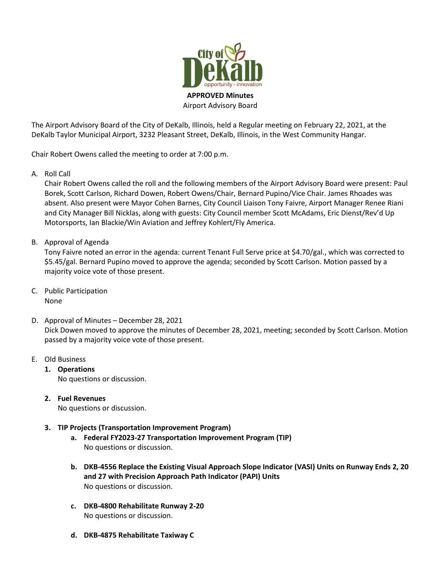

Airport Advisory Board

The Airport Advisory Board of the City of DeKalb, Illinois, held a Regular meeting on February 22, 2021, at the DeKalb Taylor Municipal Airport, 3232 Pleasant Street, DeKalb, Illinois, in the West Community Hangar.

Chair Robert Owens called the meeting to order at 7:00 p.m.

A. Roll Call

Chair Robert Owens called the roll and the following members of the Airport Advisory Board were present: Paul Borek, Scott Carlson, Richard Dowen, Robert Owens/Chair, Bernard Pupino/Vice Chair. James Rhoades was absent. Also present were Mayor Cohen Barnes, City Council Liaison Tony Faivre, Airport Manager Renee Riani and City Manager Bill Nicklas, along with guests: City Council member Scott McAdams, Eric Dienst/Rev'd Up Motorsports, Ian Blackie/Win Aviation and Jeffrey Kohlert/Fly America.

B. Approval of Agenda

Tony Faivre noted an error in the agenda: current Tenant Full Serve price at \$4.70/gal., which was corrected to \$5.45/gal. Bernard Pupino moved to approve the agenda; seconded by Scott Carlson. Motion passed by a majority voice vote of those present.

- C. Public Participation None
- D. Approval of Minutes December 28, 2021 Dick Dowen moved to approve the minutes of December 28, 2021, meeting; seconded by Scott Carlson. Motion passed by a majority voice vote of those present.
- E. Old Business
	- **1. Operations**  No questions or discussion.
	- **2. Fuel Revenues** No questions or discussion.
		-
	- **3. TIP Projects (Transportation Improvement Program)**
		- **a. Federal FY2023-27 Transportation Improvement Program (TIP)** No questions or discussion.
		- **b. DKB-4556 Replace the Existing Visual Approach Slope Indicator (VASI) Units on Runway Ends 2, 20 and 27 with Precision Approach Path Indicator (PAPI) Units** No questions or discussion.
		- **c. DKB-4800 Rehabilitate Runway 2-20** No questions or discussion.
		- **d. DKB-4875 Rehabilitate Taxiway C**